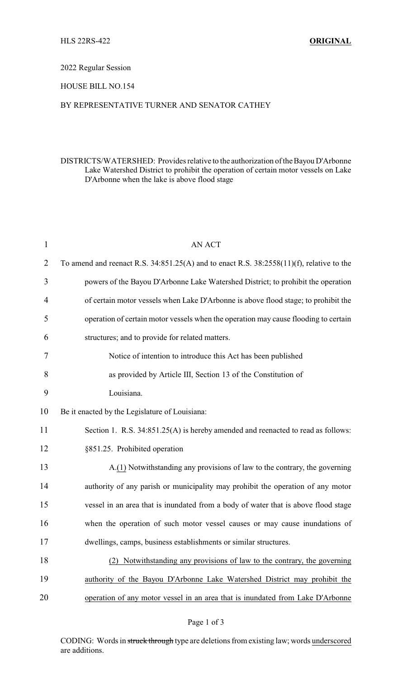#### 2022 Regular Session

# HOUSE BILL NO.154

### BY REPRESENTATIVE TURNER AND SENATOR CATHEY

# DISTRICTS/WATERSHED: Provides relative to the authorization ofthe Bayou D'Arbonne Lake Watershed District to prohibit the operation of certain motor vessels on Lake D'Arbonne when the lake is above flood stage

| $\mathbf{1}$ | <b>AN ACT</b>                                                                                 |
|--------------|-----------------------------------------------------------------------------------------------|
| 2            | To amend and reenact R.S. $34:851.25(A)$ and to enact R.S. $38:2558(11)(f)$ , relative to the |
| 3            | powers of the Bayou D'Arbonne Lake Watershed District; to prohibit the operation              |
| 4            | of certain motor vessels when Lake D'Arbonne is above flood stage; to prohibit the            |
| 5            | operation of certain motor vessels when the operation may cause flooding to certain           |
| 6            | structures; and to provide for related matters.                                               |
| 7            | Notice of intention to introduce this Act has been published                                  |
| 8            | as provided by Article III, Section 13 of the Constitution of                                 |
| 9            | Louisiana.                                                                                    |
| 10           | Be it enacted by the Legislature of Louisiana:                                                |
| 11           | Section 1. R.S. 34:851.25(A) is hereby amended and reenacted to read as follows:              |
| 12           | §851.25. Prohibited operation                                                                 |
| 13           | A.(1) Notwithstanding any provisions of law to the contrary, the governing                    |
| 14           | authority of any parish or municipality may prohibit the operation of any motor               |
| 15           | vessel in an area that is inundated from a body of water that is above flood stage            |
| 16           | when the operation of such motor vessel causes or may cause inundations of                    |
| 17           | dwellings, camps, business establishments or similar structures                               |
| 18           | (2) Notwithstanding any provisions of law to the contrary, the governing                      |
| 19           | authority of the Bayou D'Arbonne Lake Watershed District may prohibit the                     |
| 20           | operation of any motor vessel in an area that is inundated from Lake D'Arbonne                |
|              |                                                                                               |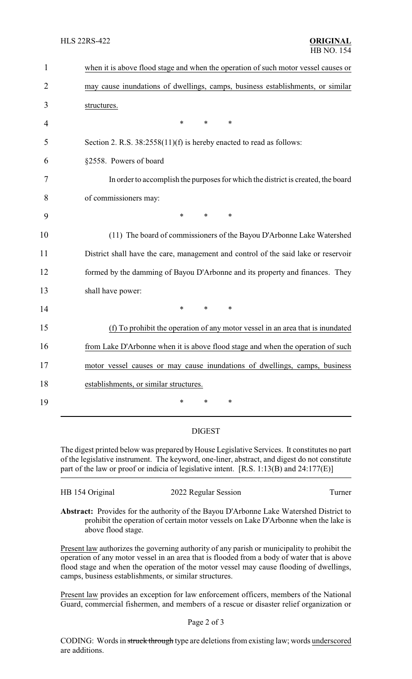| $\mathbf{1}$ | when it is above flood stage and when the operation of such motor vessel causes or |
|--------------|------------------------------------------------------------------------------------|
| 2            | may cause inundations of dwellings, camps, business establishments, or similar     |
| 3            | structures.                                                                        |
| 4            | $\ast$<br>*<br>$\ast$                                                              |
| 5            | Section 2. R.S. 38:2558(11)(f) is hereby enacted to read as follows:               |
| 6            | §2558. Powers of board                                                             |
| 7            | In order to accomplish the purposes for which the district is created, the board   |
| 8            | of commissioners may:                                                              |
| 9            | $\ast$<br>$\ast$<br>$\ast$                                                         |
| 10           | (11) The board of commissioners of the Bayou D'Arbonne Lake Watershed              |
| 11           | District shall have the care, management and control of the said lake or reservoir |
| 12           | formed by the damming of Bayou D'Arbonne and its property and finances. They       |
| 13           | shall have power:                                                                  |
| 14           | $\ast$<br>$\ast$<br>$\ast$                                                         |
| 15           | (f) To prohibit the operation of any motor vessel in an area that is inundated     |
| 16           | from Lake D'Arbonne when it is above flood stage and when the operation of such    |
| 17           | motor vessel causes or may cause inundations of dwellings, camps, business         |
| 18           | establishments, or similar structures.                                             |
| 19           | $\ast$<br>*<br>*                                                                   |

### DIGEST

The digest printed below was prepared by House Legislative Services. It constitutes no part of the legislative instrument. The keyword, one-liner, abstract, and digest do not constitute part of the law or proof or indicia of legislative intent. [R.S. 1:13(B) and 24:177(E)]

| HB 154 Original | 2022 Regular Session                                                                   | Turner |
|-----------------|----------------------------------------------------------------------------------------|--------|
|                 | Abstract: Provides for the authority of the Bayou D'Arbonne Lake Watershed District to |        |

**Abstract:** Provides for the authority of the Bayou D'Arbonne Lake Watershed District to prohibit the operation of certain motor vessels on Lake D'Arbonne when the lake is above flood stage.

Present law authorizes the governing authority of any parish or municipality to prohibit the operation of any motor vessel in an area that is flooded from a body of water that is above flood stage and when the operation of the motor vessel may cause flooding of dwellings, camps, business establishments, or similar structures.

Present law provides an exception for law enforcement officers, members of the National Guard, commercial fishermen, and members of a rescue or disaster relief organization or